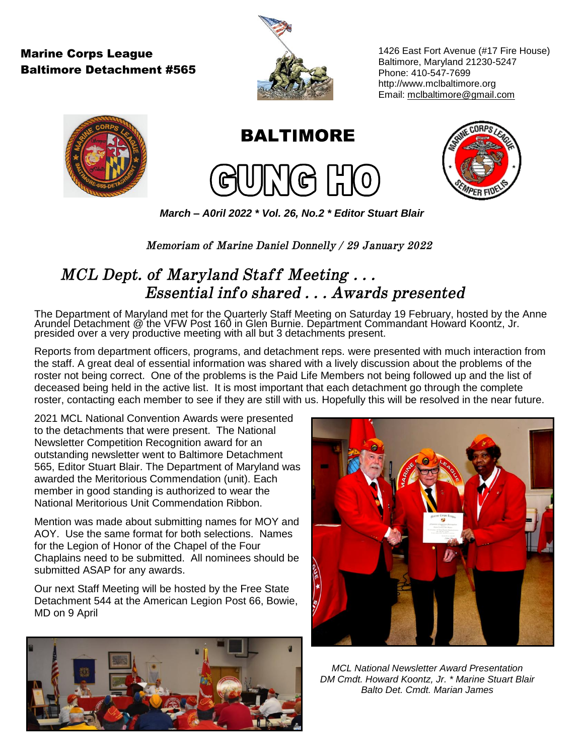## Marine Corps League Baltimore Detachment #565



1426 East Fort Avenue (#17 Fire House) Baltimore, Maryland 21230-5247 Phone: 410-547-7699 [http://www.mclbaltimore.org](http://www.mclbaltimore.org/) Email: mclbaltimore@gmail.com



**BALTIMORE** 





*March – A0ril 2022 \* Vol. 26, No.2 \* Editor Stuart Blair*

*Memoriam of Marine Daniel Donnelly / 29 January 2022*

# *MCL Dept. of Maryland Staff Meeting . . . Essential info shared . . . Awards presented*

The Department of Maryland met for the Quarterly Staff Meeting on Saturday 19 February, hosted by the Anne Arundel Detachment @ the VFW Post 160 in Glen Burnie. Department Commandant Howard Koontz, Jr. presided over a very productive meeting with all but 3 detachments present.

Reports from department officers, programs, and detachment reps. were presented with much interaction from the staff. A great deal of essential information was shared with a lively discussion about the problems of the roster not being correct. One of the problems is the Paid Life Members not being followed up and the list of deceased being held in the active list. It is most important that each detachment go through the complete roster, contacting each member to see if they are still with us. Hopefully this will be resolved in the near future.

2021 MCL National Convention Awards were presented to the detachments that were present. The National Newsletter Competition Recognition award for an outstanding newsletter went to Baltimore Detachment 565, Editor Stuart Blair. The Department of Maryland was awarded the Meritorious Commendation (unit). Each member in good standing is authorized to wear the National Meritorious Unit Commendation Ribbon.

Mention was made about submitting names for MOY and AOY. Use the same format for both selections. Names for the Legion of Honor of the Chapel of the Four Chaplains need to be submitted. All nominees should be submitted ASAP for any awards.

Our next Staff Meeting will be hosted by the Free State Detachment 544 at the American Legion Post 66, Bowie, MD on 9 April





*MCL National Newsletter Award Presentation DM Cmdt. Howard Koontz, Jr. \* Marine Stuart Blair Balto Det. Cmdt. Marian James*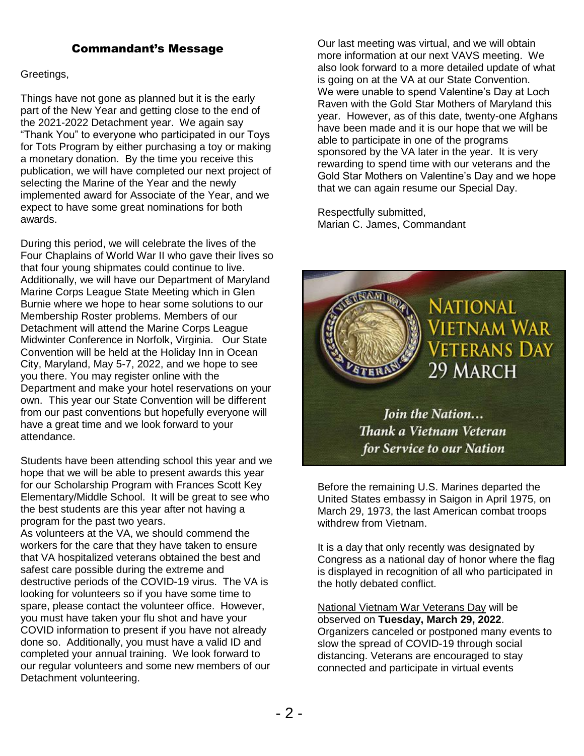## Commandant's Message

#### Greetings,

Things have not gone as planned but it is the early part of the New Year and getting close to the end of the 2021-2022 Detachment year. We again say "Thank You" to everyone who participated in our Toys for Tots Program by either purchasing a toy or making a monetary donation. By the time you receive this publication, we will have completed our next project of selecting the Marine of the Year and the newly implemented award for Associate of the Year, and we expect to have some great nominations for both awards.

During this period, we will celebrate the lives of the Four Chaplains of World War II who gave their lives so that four young shipmates could continue to live. Additionally, we will have our Department of Maryland Marine Corps League State Meeting which in Glen Burnie where we hope to hear some solutions to our Membership Roster problems. Members of our Detachment will attend the Marine Corps League Midwinter Conference in Norfolk, Virginia. Our State Convention will be held at the Holiday Inn in Ocean City, Maryland, May 5-7, 2022, and we hope to see you there. You may register online with the Department and make your hotel reservations on your own. This year our State Convention will be different from our past conventions but hopefully everyone will have a great time and we look forward to your attendance.

Students have been attending school this year and we hope that we will be able to present awards this year for our Scholarship Program with Frances Scott Key Elementary/Middle School. It will be great to see who the best students are this year after not having a program for the past two years.

As volunteers at the VA, we should commend the workers for the care that they have taken to ensure that VA hospitalized veterans obtained the best and safest care possible during the extreme and destructive periods of the COVID-19 virus. The VA is looking for volunteers so if you have some time to spare, please contact the volunteer office. However, you must have taken your flu shot and have your COVID information to present if you have not already done so. Additionally, you must have a valid ID and completed your annual training. We look forward to our regular volunteers and some new members of our Detachment volunteering.

Our last meeting was virtual, and we will obtain more information at our next VAVS meeting. We also look forward to a more detailed update of what is going on at the VA at our State Convention. We were unable to spend Valentine's Day at Loch Raven with the Gold Star Mothers of Maryland this year. However, as of this date, twenty-one Afghans have been made and it is our hope that we will be able to participate in one of the programs sponsored by the VA later in the year. It is very rewarding to spend time with our veterans and the Gold Star Mothers on Valentine's Day and we hope that we can again resume our Special Day.

Respectfully submitted, Marian C. James, Commandant



**Join the Nation...** Thank a Vietnam Veteran for Service to our Nation

Before the remaining U.S. Marines departed the United States embassy in Saigon in April 1975, on March 29, 1973, the last American combat troops withdrew from Vietnam.

It is a day that only recently was designated by Congress as a national day of honor where the flag is displayed in recognition of all who participated in the hotly debated conflict.

National Vietnam War Veterans Day will be observed on **Tuesday, March 29, 2022**. Organizers canceled or postponed many events to slow the spread of COVID-19 through social distancing. Veterans are encouraged to stay connected and participate in virtual events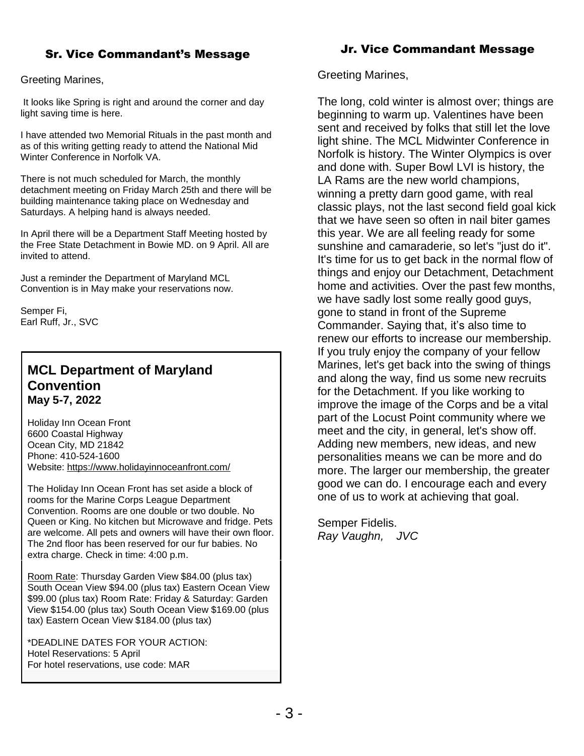## Sr. Vice Commandant's Message

#### Greeting Marines,

It looks like Spring is right and around the corner and day light saving time is here.

I have attended two Memorial Rituals in the past month and as of this writing getting ready to attend the National Mid Winter Conference in Norfolk VA.

There is not much scheduled for March, the monthly detachment meeting on Friday March 25th and there will be building maintenance taking place on Wednesday and Saturdays. A helping hand is always needed.

In April there will be a Department Staff Meeting hosted by the Free State Detachment in Bowie MD. on 9 April. All are invited to attend.

Just a reminder the Department of Maryland MCL Convention is in May make your reservations now.

Semper Fi, Earl Ruff, Jr., SVC

## **MCL Department of Maryland Convention May 5-7, 2022**

Holiday Inn Ocean Front 6600 Coastal Highway Ocean City, MD 21842 Phone: 410-524-1600 Website: <https://www.holidayinnoceanfront.com/>

The Holiday Inn Ocean Front has set aside a block of rooms for the Marine Corps League Department Convention. Rooms are one double or two double. No Queen or King. No kitchen but Microwave and fridge. Pets are welcome. All pets and owners will have their own floor. The 2nd floor has been reserved for our fur babies. No extra charge. Check in time: 4:00 p.m.

Room Rate: Thursday Garden View \$84.00 (plus tax) South Ocean View \$94.00 (plus tax) Eastern Ocean View \$99.00 (plus tax) Room Rate: Friday & Saturday: Garden View \$154.00 (plus tax) South Ocean View \$169.00 (plus tax) Eastern Ocean View \$184.00 (plus tax)

\*DEADLINE DATES FOR YOUR ACTION: Hotel Reservations: 5 April For hotel reservations, use code: MAR

## Jr. Vice Commandant Message

Greeting Marines,

The long, cold winter is almost over; things are beginning to warm up. Valentines have been sent and received by folks that still let the love light shine. The MCL Midwinter Conference in Norfolk is history. The Winter Olympics is over and done with. Super Bowl LVI is history, the LA Rams are the new world champions, winning a pretty darn good game, with real classic plays, not the last second field goal kick that we have seen so often in nail biter games this year. We are all feeling ready for some sunshine and camaraderie, so let's "just do it". It's time for us to get back in the normal flow of things and enjoy our Detachment, Detachment home and activities. Over the past few months, we have sadly lost some really good guys, gone to stand in front of the Supreme Commander. Saying that, it's also time to renew our efforts to increase our membership. If you truly enjoy the company of your fellow Marines, let's get back into the swing of things and along the way, find us some new recruits for the Detachment. If you like working to improve the image of the Corps and be a vital part of the Locust Point community where we meet and the city, in general, let's show off. Adding new members, new ideas, and new personalities means we can be more and do more. The larger our membership, the greater good we can do. I encourage each and every one of us to work at achieving that goal.

Semper Fidelis. *Ray Vaughn, JVC*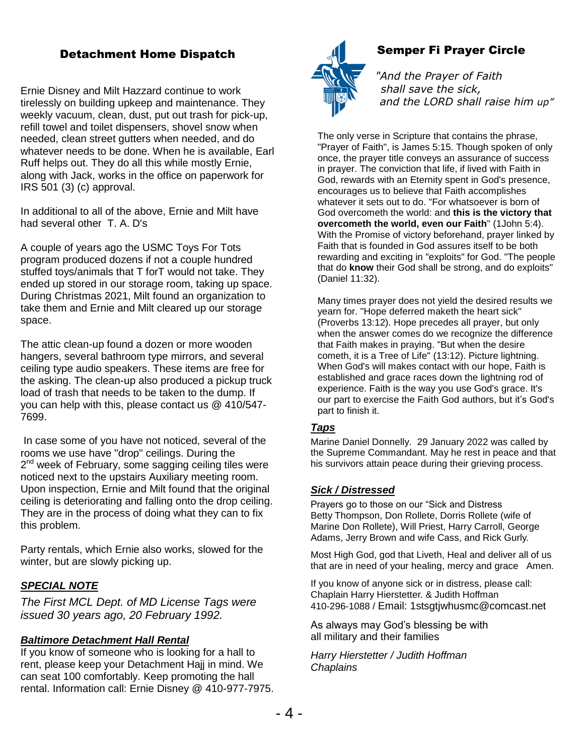## Detachment Home Dispatch

Ernie Disney and Milt Hazzard continue to work tirelessly on building upkeep and maintenance. They weekly vacuum, clean, dust, put out trash for pick-up, refill towel and toilet dispensers, shovel snow when needed, clean street gutters when needed, and do whatever needs to be done. When he is available, Earl Ruff helps out. They do all this while mostly Ernie, along with Jack, works in the office on paperwork for IRS 501 (3) (c) approval.

In additional to all of the above, Ernie and Milt have had several other T. A. D's

A couple of years ago the USMC Toys For Tots program produced dozens if not a couple hundred stuffed toys/animals that T forT would not take. They ended up stored in our storage room, taking up space. During Christmas 2021, Milt found an organization to take them and Ernie and Milt cleared up our storage space.

The attic clean-up found a dozen or more wooden hangers, several bathroom type mirrors, and several ceiling type audio speakers. These items are free for the asking. The clean-up also produced a pickup truck load of trash that needs to be taken to the dump. If you can help with this, please contact us @ 410/547- 7699.

In case some of you have not noticed, several of the rooms we use have "drop" ceilings. During the 2<sup>nd</sup> week of February, some sagging ceiling tiles were noticed next to the upstairs Auxiliary meeting room. Upon inspection, Ernie and Milt found that the original ceiling is deteriorating and falling onto the drop ceiling. They are in the process of doing what they can to fix this problem.

Party rentals, which Ernie also works, slowed for the winter, but are slowly picking up.

#### *SPECIAL NOTE*

*The First MCL Dept. of MD License Tags were issued 30 years ago, 20 February 1992.* 

#### *Baltimore Detachment Hall Rental*

If you know of someone who is looking for a hall to rent, please keep your Detachment Hajj in mind. We can seat 100 comfortably. Keep promoting the hall rental. Information call: Ernie Disney @ 410-977-7975.



## Semper Fi Prayer Circle

*"And the Prayer of Faith shall save the sick, and the LORD shall raise him up"*

The only verse in Scripture that contains the phrase, "Prayer of Faith", is James 5:15. Though spoken of only once, the prayer title conveys an assurance of success in prayer. The conviction that life, if lived with Faith in God, rewards with an Eternity spent in God's presence, encourages us to believe that Faith accomplishes whatever it sets out to do. "For whatsoever is born of God overcometh the world: and **this is the victory that overcometh the world, even our Faith**" (1John 5:4). With the Promise of victory beforehand, prayer linked by Faith that is founded in God assures itself to be both rewarding and exciting in "exploits" for God. "The people that do **know** their God shall be strong, and do exploits" (Daniel 11:32).

Many times prayer does not yield the desired results we yearn for. "Hope deferred maketh the heart sick" (Proverbs 13:12). Hope precedes all prayer, but only when the answer comes do we recognize the difference that Faith makes in praying. "But when the desire cometh, it is a Tree of Life" (13:12). Picture lightning. When God's will makes contact with our hope, Faith is established and grace races down the lightning rod of experience. Faith is the way you use God's grace. It's our part to exercise the Faith God authors, but it's God's part to finish it.

#### *Taps*

Marine Daniel Donnelly. 29 January 2022 was called by the Supreme Commandant. May he rest in peace and that his survivors attain peace during their grieving process.

#### *Sick / Distressed*

Prayers go to those on our "Sick and Distress Betty Thompson, Don Rollete, Dorris Rollete (wife of Marine Don Rollete), Will Priest, Harry Carroll, George Adams, Jerry Brown and wife Cass, and Rick Gurly.

Most High God, god that Liveth, Heal and deliver all of us that are in need of your healing, mercy and grace Amen.

If you know of anyone sick or in distress, please call: Chaplain Harry Hierstetter. & Judith Hoffman 410-296-1088 / Email: 1stsgtjwhusmc@comcast.net

As always may God's blessing be with all military and their families

*Harry Hierstetter / Judith Hoffman Chaplains*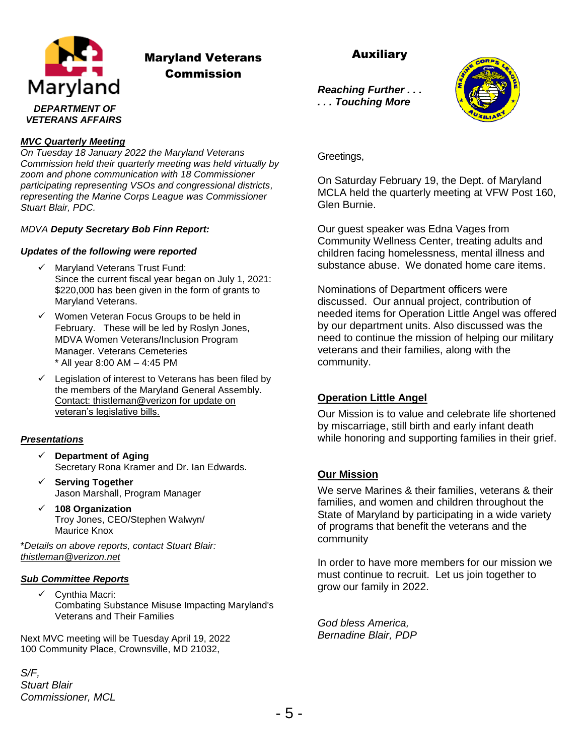

# Maryland Veterans Commission

## Auxiliary

*Reaching Further . . . . . . Touching More*



#### *MVC Quarterly Meeting*

*On Tuesday 18 January 2022 the Maryland Veterans Commission held their quarterly meeting was held virtually by zoom and phone communication with 18 Commissioner participating representing VSOs and congressional districts, representing the Marine Corps League was Commissioner Stuart Blair, PDC.* 

#### *MDVA Deputy Secretary Bob Finn Report:*

#### *Updates of the following were reported*

- $\checkmark$  Maryland Veterans Trust Fund: Since the current fiscal year began on July 1, 2021: \$220,000 has been given in the form of grants to Maryland Veterans.
- $\checkmark$  Women Veteran Focus Groups to be held in February. These will be led by Roslyn Jones, MDVA Women Veterans/Inclusion Program Manager. Veterans Cemeteries \* All year 8:00 AM – 4:45 PM
- $\checkmark$  Legislation of interest to Veterans has been filed by the members of the Maryland General Assembly. Contact: thistleman@verizon for update on veteran's legislative bills.

#### *Presentations*

- **Department of Aging**  Secretary Rona Kramer and Dr. Ian Edwards.
- **Serving Together** Jason Marshall, Program Manager
- **108 Organization** Troy Jones, CEO/Stephen Walwyn/ Maurice Knox

\**Details on above reports, contact Stuart Blair: [thistleman@verizon.net](mailto:thistleman@verizon.net)*

#### *Sub Committee Reports*

 $\checkmark$  Cynthia Macri: Combating Substance Misuse Impacting Maryland's Veterans and Their Families

Next MVC meeting will be Tuesday April 19, 2022 100 Community Place, Crownsville, MD 21032,

*S/F,*

*Stuart Blair Commissioner, MCL* Greetings,

On Saturday February 19, the Dept. of Maryland MCLA held the quarterly meeting at VFW Post 160, Glen Burnie.

Our guest speaker was Edna Vages from Community Wellness Center, treating adults and children facing homelessness, mental illness and substance abuse. We donated home care items.

Nominations of Department officers were discussed. Our annual project, contribution of needed items for Operation Little Angel was offered by our department units. Also discussed was the need to continue the mission of helping our military veterans and their families, along with the community.

### **Operation Little Angel**

Our Mission is to value and celebrate life shortened by miscarriage, still birth and early infant death while honoring and supporting families in their grief.

### **Our Mission**

We serve Marines & their families, veterans & their families, and women and children throughout the State of Maryland by participating in a wide variety of programs that benefit the veterans and the community

In order to have more members for our mission we must continue to recruit. Let us join together to grow our family in 2022.

*God bless America, Bernadine Blair, PDP*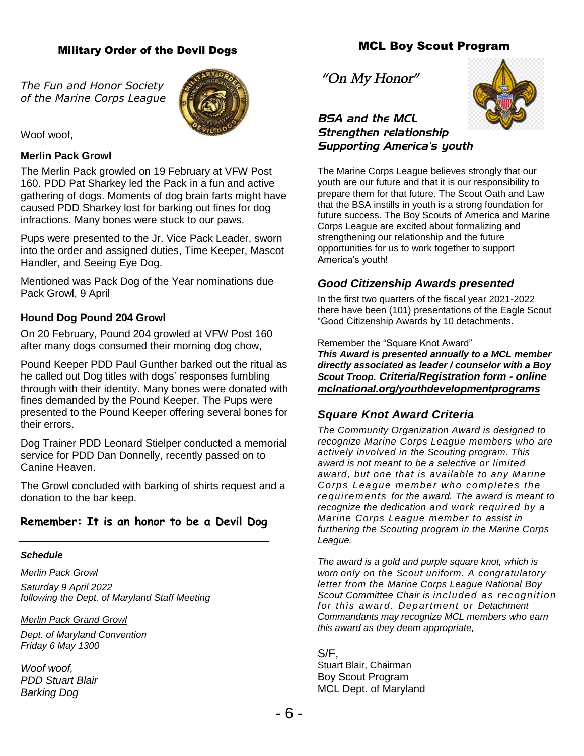#### Military Order of the Devil Dogs

*The Fun and Honor Society of the Marine Corps League*



Woof woof.

#### **Merlin Pack Growl**

The Merlin Pack growled on 19 February at VFW Post 160. PDD Pat Sharkey led the Pack in a fun and active gathering of dogs. Moments of dog brain farts might have caused PDD Sharkey lost for barking out fines for dog infractions. Many bones were stuck to our paws.

Pups were presented to the Jr. Vice Pack Leader, sworn into the order and assigned duties, Time Keeper, Mascot Handler, and Seeing Eye Dog.

Mentioned was Pack Dog of the Year nominations due Pack Growl, 9 April

#### **Hound Dog Pound 204 Growl**

On 20 February, Pound 204 growled at VFW Post 160 after many dogs consumed their morning dog chow,

Pound Keeper PDD Paul Gunther barked out the ritual as he called out Dog titles with dogs' responses fumbling through with their identity. Many bones were donated with fines demanded by the Pound Keeper. The Pups were presented to the Pound Keeper offering several bones for their errors.

Dog Trainer PDD Leonard Stielper conducted a memorial service for PDD Dan Donnelly, recently passed on to Canine Heaven.

The Growl concluded with barking of shirts request and a donation to the bar keep.

## **Remember: It is an honor to be a Devil Dog**

#### *Schedule*

*Merlin Pack Growl Saturday 9 April 2022 following the Dept. of Maryland Staff Meeting*

*Merlin Pack Grand Growl*

*Dept. of Maryland Convention Friday 6 May 1300*

*Woof woof, PDD Stuart Blair Barking Dog*

*"On My Honor"*



*BSA and the MCL Strengthen relationship Supporting America's youth*

The Marine Corps League believes strongly that our youth are our future and that it is our responsibility to prepare them for that future. The Scout Oath and Law that the BSA instills in youth is a strong foundation for future success. The Boy Scouts of America and Marine Corps League are excited about formalizing and strengthening our relationship and the future opportunities for us to work together to support America's youth!

### *Good Citizenship Awards presented*

In the first two quarters of the fiscal year 2021-2022 there have been (101) presentations of the Eagle Scout "Good Citizenship Awards by 10 detachments.

Remember the "Square Knot Award" *This Award is presented annually to a MCL member directly associated as leader / counselor with a Boy Scout Troop. Criteria/Registration form - online mclnational.org/youthdevelopmentprograms*

## *Square Knot Award Criteria*

*The Community Organization Award is designed to recognize Marine Corps League members who are actively involved in the Scouting program. This award is not meant to be a selective or limited award, but one that is available to any Marine Corps League member who completes the requirements for the award. The award is meant to recognize the dedication and work required by a Marine Corps League member to assist in furthering the Scouting program in the Marine Corps League.*

*The award is a gold and purple square knot, which is worn only on the Scout uniform. A congratulatory letter from the Marine Corps League National Boy Scout Committee Chair is included as recognition for this award. Department or Detachment Commandants may recognize MCL members who earn this award as they deem appropriate,*

S/F, Stuart Blair, Chairman Boy Scout Program MCL Dept. of Maryland

## MCL Boy Scout Program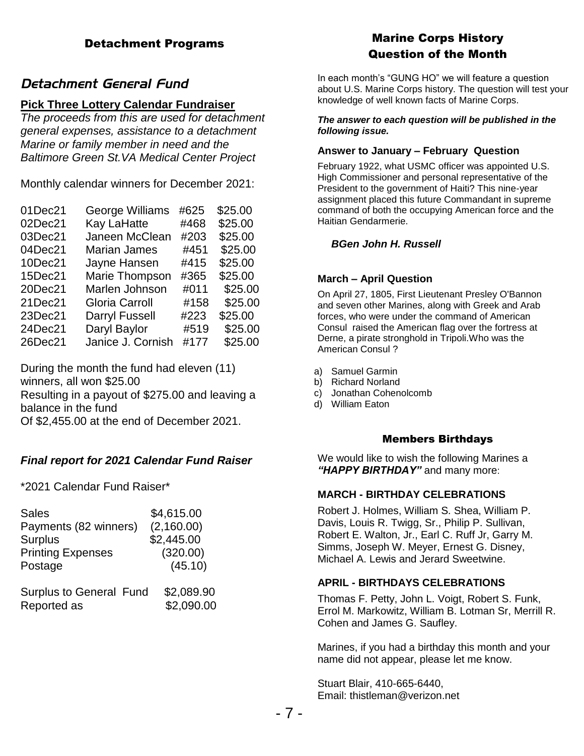## Detachment Programs

## *Detachment General Fund*

### **Pick Three Lottery Calendar Fundraiser**

*The proceeds from this are used for detachment general expenses, assistance to a detachment Marine or family member in need and the Baltimore Green St.VA Medical Center Project*

Monthly calendar winners for December 2021:

| 01Dec21 | George Williams       | #625 | \$25.00 |
|---------|-----------------------|------|---------|
| 02Dec21 | Kay LaHatte           | #468 | \$25.00 |
| 03Dec21 | Janeen McClean        | #203 | \$25.00 |
| 04Dec21 | <b>Marian James</b>   | #451 | \$25.00 |
| 10Dec21 | Jayne Hansen          | #415 | \$25.00 |
| 15Dec21 | Marie Thompson        | #365 | \$25.00 |
| 20Dec21 | Marlen Johnson        | #011 | \$25.00 |
| 21Dec21 | Gloria Carroll        | #158 | \$25.00 |
| 23Dec21 | <b>Darryl Fussell</b> | #223 | \$25.00 |
| 24Dec21 | Daryl Baylor          | #519 | \$25.00 |
| 26Dec21 | Janice J. Cornish     | #177 | \$25.00 |

During the month the fund had eleven (11) winners, all won \$25.00 Resulting in a payout of \$275.00 and leaving a

balance in the fund

Of \$2,455.00 at the end of December 2021.

## *Final report for 2021 Calendar Fund Raiser*

\*2021 Calendar Fund Raiser\*

| <b>Sales</b>                   | \$4,615.00 |  |
|--------------------------------|------------|--|
| Payments (82 winners)          | (2,160.00) |  |
| <b>Surplus</b>                 | \$2,445.00 |  |
| <b>Printing Expenses</b>       | (320.00)   |  |
| Postage                        | (45.10)    |  |
| <b>Surplus to General Fund</b> | \$2,089.90 |  |
| Reported as                    | \$2,090.00 |  |

# Marine Corps History Question of the Month

In each month's "GUNG HO" we will feature a question about U.S. Marine Corps history. The question will test your knowledge of well known facts of Marine Corps.

#### *The answer to each question will be published in the following issue.*

#### **Answer to January – February Question**

February 1922, what USMC officer was appointed U.S. High Commissioner and personal representative of the President to the government of Haiti? This nine-year assignment placed this future Commandant in supreme command of both the occupying American force and the Haitian Gendarmerie.

#### *BGen John H. Russell*

#### **March – April Question**

On April 27, 1805, First Lieutenant Presley O'Bannon and seven other Marines, along with Greek and Arab forces, who were under the command of American Consul raised the American flag over the fortress at Derne, a pirate stronghold in Tripoli.Who was the American Consul ?

- a) Samuel Garmin
- b) Richard Norland
- c) Jonathan Cohenolcomb
- d) William Eaton

#### Members Birthdays

We would like to wish the following Marines a *"HAPPY BIRTHDAY"* and many more:

#### **MARCH - BIRTHDAY CELEBRATIONS**

Robert J. Holmes, William S. Shea, William P. Davis, Louis R. Twigg, Sr., Philip P. Sullivan, Robert E. Walton, Jr., Earl C. Ruff Jr, Garry M. Simms, Joseph W. Meyer, Ernest G. Disney, Michael A. Lewis and Jerard Sweetwine.

#### **APRIL - BIRTHDAYS CELEBRATIONS**

Thomas F. Petty, John L. Voigt, Robert S. Funk, Errol M. Markowitz, William B. Lotman Sr, Merrill R. Cohen and James G. Saufley.

Marines, if you had a birthday this month and your name did not appear, please let me know.

Stuart Blair, 410-665-6440, Email: thistleman@verizon.net